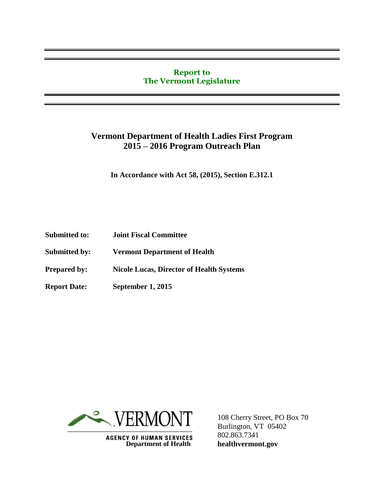#### **Report to The Vermont Legislature**

## **Vermont Department of Health Ladies First Program 2015 – 2016 Program Outreach Plan**

**In Accordance with Act 58, (2015), Section E.312.1**

- **Submitted to: Joint Fiscal Committee**
- **Submitted by: Vermont Department of Health**
- **Prepared by: Nicole Lucas, Director of Health Systems**
- **Report Date: September 1, 2015**



**AGENCY OF HUMAN SERVICES Department of Health** 

108 Cherry Street, PO Box 70 Burlington, VT 05402 802.863.7341 **healthvermont.gov**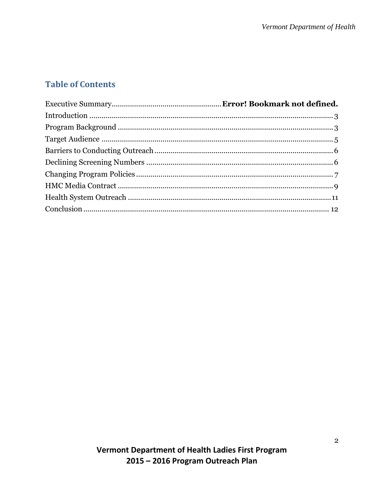# **Table of Contents**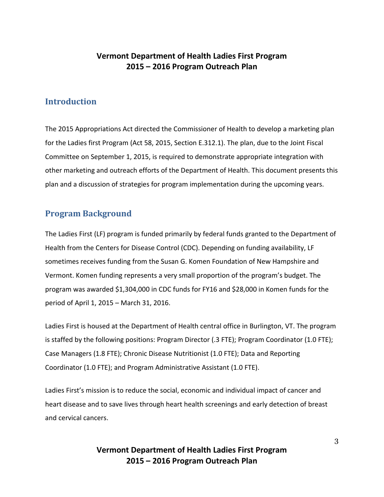### **Vermont Department of Health Ladies First Program 2015 – 2016 Program Outreach Plan**

#### <span id="page-2-0"></span>**Introduction**

The 2015 Appropriations Act directed the Commissioner of Health to develop a marketing plan for the Ladies first Program (Act 58, 2015, Section E.312.1). The plan, due to the Joint Fiscal Committee on September 1, 2015, is required to demonstrate appropriate integration with other marketing and outreach efforts of the Department of Health. This document presents this plan and a discussion of strategies for program implementation during the upcoming years.

## <span id="page-2-1"></span>**Program Background**

The Ladies First (LF) program is funded primarily by federal funds granted to the Department of Health from the Centers for Disease Control (CDC). Depending on funding availability, LF sometimes receives funding from the Susan G. Komen Foundation of New Hampshire and Vermont. Komen funding represents a very small proportion of the program's budget. The program was awarded \$1,304,000 in CDC funds for FY16 and \$28,000 in Komen funds for the period of April 1, 2015 – March 31, 2016.

Ladies First is housed at the Department of Health central office in Burlington, VT. The program is staffed by the following positions: Program Director (.3 FTE); Program Coordinator (1.0 FTE); Case Managers (1.8 FTE); Chronic Disease Nutritionist (1.0 FTE); Data and Reporting Coordinator (1.0 FTE); and Program Administrative Assistant (1.0 FTE).

Ladies First's mission is to reduce the social, economic and individual impact of cancer and heart disease and to save lives through heart health screenings and early detection of breast and cervical cancers.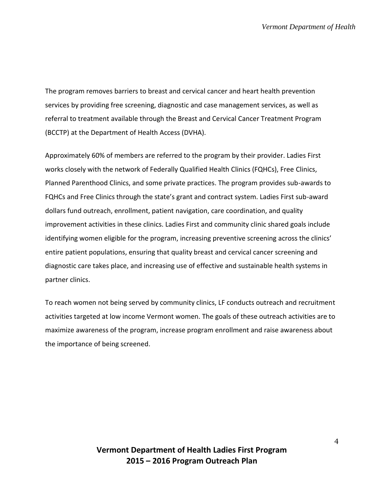The program removes barriers to breast and cervical cancer and heart health prevention services by providing free screening, diagnostic and case management services, as well as referral to treatment available through the Breast and Cervical Cancer Treatment Program (BCCTP) at the Department of Health Access (DVHA).

Approximately 60% of members are referred to the program by their provider. Ladies First works closely with the network of Federally Qualified Health Clinics (FQHCs), Free Clinics, Planned Parenthood Clinics, and some private practices. The program provides sub-awards to FQHCs and Free Clinics through the state's grant and contract system. Ladies First sub-award dollars fund outreach, enrollment, patient navigation, care coordination, and quality improvement activities in these clinics. Ladies First and community clinic shared goals include identifying women eligible for the program, increasing preventive screening across the clinics' entire patient populations, ensuring that quality breast and cervical cancer screening and diagnostic care takes place, and increasing use of effective and sustainable health systems in partner clinics.

To reach women not being served by community clinics, LF conducts outreach and recruitment activities targeted at low income Vermont women. The goals of these outreach activities are to maximize awareness of the program, increase program enrollment and raise awareness about the importance of being screened.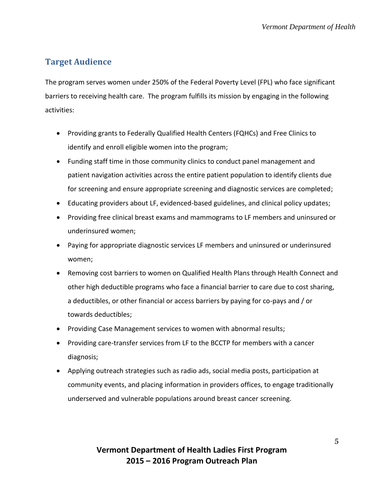# <span id="page-4-0"></span>**Target Audience**

The program serves women under 250% of the Federal Poverty Level (FPL) who face significant barriers to receiving health care. The program fulfills its mission by engaging in the following activities:

- Providing grants to Federally Qualified Health Centers (FQHCs) and Free Clinics to identify and enroll eligible women into the program;
- Funding staff time in those community clinics to conduct panel management and patient navigation activities across the entire patient population to identify clients due for screening and ensure appropriate screening and diagnostic services are completed;
- Educating providers about LF, evidenced-based guidelines, and clinical policy updates;
- Providing free clinical breast exams and mammograms to LF members and uninsured or underinsured women;
- Paying for appropriate diagnostic services LF members and uninsured or underinsured women;
- Removing cost barriers to women on Qualified Health Plans through Health Connect and other high deductible programs who face a financial barrier to care due to cost sharing, a deductibles, or other financial or access barriers by paying for co-pays and / or towards deductibles;
- Providing Case Management services to women with abnormal results;
- Providing care-transfer services from LF to the BCCTP for members with a cancer diagnosis;
- Applying outreach strategies such as radio ads, social media posts, participation at community events, and placing information in providers offices, to engage traditionally underserved and vulnerable populations around breast cancer screening.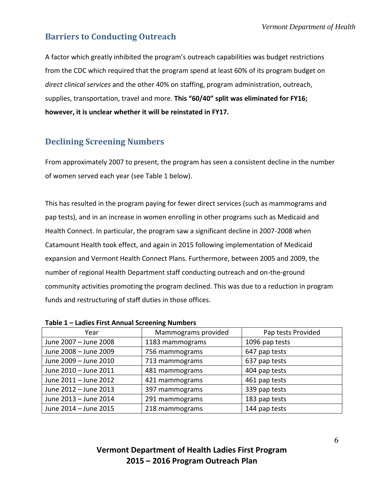## <span id="page-5-0"></span>**Barriers to Conducting Outreach**

A factor which greatly inhibited the program's outreach capabilities was budget restrictions from the CDC which required that the program spend at least 60% of its program budget on *direct clinical services* and the other 40% on staffing, program administration, outreach, supplies, transportation, travel and more. **This "60/40" split was eliminated for FY16; however, it is unclear whether it will be reinstated in FY17.**

# <span id="page-5-1"></span>**Declining Screening Numbers**

From approximately 2007 to present, the program has seen a consistent decline in the number of women served each year (see Table 1 below).

This has resulted in the program paying for fewer direct services (such as mammograms and pap tests), and in an increase in women enrolling in other programs such as Medicaid and Health Connect. In particular, the program saw a significant decline in 2007-2008 when Catamount Health took effect, and again in 2015 following implementation of Medicaid expansion and Vermont Health Connect Plans. Furthermore, between 2005 and 2009, the number of regional Health Department staff conducting outreach and on-the-ground community activities promoting the program declined. This was due to a reduction in program funds and restructuring of staff duties in those offices.

| Year                  | Mammograms provided | Pap tests Provided |
|-----------------------|---------------------|--------------------|
| June 2007 - June 2008 | 1183 mammograms     | 1096 pap tests     |
| June 2008 - June 2009 | 756 mammograms      | 647 pap tests      |
| June 2009 - June 2010 | 713 mammograms      | 637 pap tests      |
| June 2010 - June 2011 | 481 mammograms      | 404 pap tests      |
| June 2011 - June 2012 | 421 mammograms      | 461 pap tests      |
| June 2012 - June 2013 | 397 mammograms      | 339 pap tests      |
| June 2013 - June 2014 | 291 mammograms      | 183 pap tests      |
| June 2014 - June 2015 | 218 mammograms      | 144 pap tests      |

**Table 1 – Ladies First Annual Screening Numbers**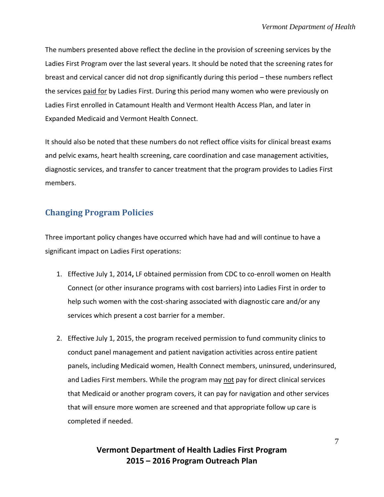The numbers presented above reflect the decline in the provision of screening services by the Ladies First Program over the last several years. It should be noted that the screening rates for breast and cervical cancer did not drop significantly during this period – these numbers reflect the services paid for by Ladies First. During this period many women who were previously on Ladies First enrolled in Catamount Health and Vermont Health Access Plan, and later in Expanded Medicaid and Vermont Health Connect.

It should also be noted that these numbers do not reflect office visits for clinical breast exams and pelvic exams, heart health screening, care coordination and case management activities, diagnostic services, and transfer to cancer treatment that the program provides to Ladies First members.

## <span id="page-6-0"></span>**Changing Program Policies**

Three important policy changes have occurred which have had and will continue to have a significant impact on Ladies First operations:

- 1. Effective July 1, 2014**,** LF obtained permission from CDC to co-enroll women on Health Connect (or other insurance programs with cost barriers) into Ladies First in order to help such women with the cost-sharing associated with diagnostic care and/or any services which present a cost barrier for a member.
- 2. Effective July 1, 2015, the program received permission to fund community clinics to conduct panel management and patient navigation activities across entire patient panels, including Medicaid women, Health Connect members, uninsured, underinsured, and Ladies First members. While the program may not pay for direct clinical services that Medicaid or another program covers, it can pay for navigation and other services that will ensure more women are screened and that appropriate follow up care is completed if needed.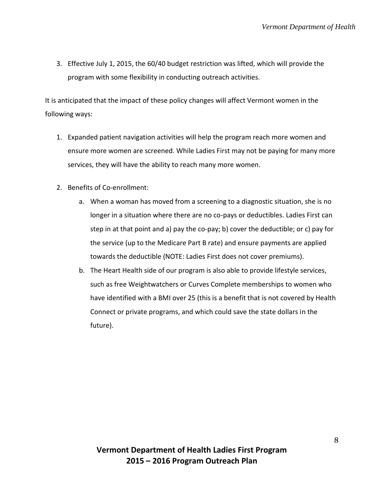3. Effective July 1, 2015, the 60/40 budget restriction was lifted, which will provide the program with some flexibility in conducting outreach activities.

It is anticipated that the impact of these policy changes will affect Vermont women in the following ways:

- 1. Expanded patient navigation activities will help the program reach more women and ensure more women are screened. While Ladies First may not be paying for many more services, they will have the ability to reach many more women.
- 2. Benefits of Co-enrollment:
	- a. When a woman has moved from a screening to a diagnostic situation, she is no longer in a situation where there are no co-pays or deductibles. Ladies First can step in at that point and a) pay the co-pay; b) cover the deductible; or c) pay for the service (up to the Medicare Part B rate) and ensure payments are applied towards the deductible (NOTE: Ladies First does not cover premiums).
	- b. The Heart Health side of our program is also able to provide lifestyle services, such as free Weightwatchers or Curves Complete memberships to women who have identified with a BMI over 25 (this is a benefit that is not covered by Health Connect or private programs, and which could save the state dollars in the future).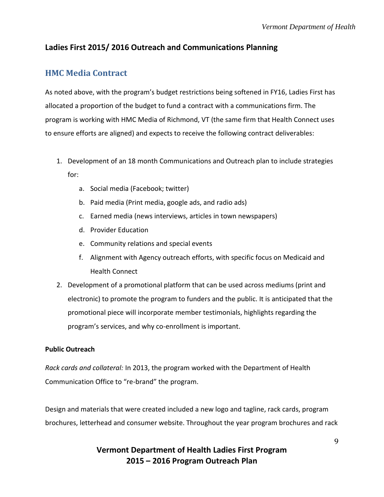#### <span id="page-8-0"></span>**Ladies First 2015/ 2016 Outreach and Communications Planning**

## **HMC Media Contract**

As noted above, with the program's budget restrictions being softened in FY16, Ladies First has allocated a proportion of the budget to fund a contract with a communications firm. The program is working with HMC Media of Richmond, VT (the same firm that Health Connect uses to ensure efforts are aligned) and expects to receive the following contract deliverables:

- 1. Development of an 18 month Communications and Outreach plan to include strategies for:
	- a. Social media (Facebook; twitter)
	- b. Paid media (Print media, google ads, and radio ads)
	- c. Earned media (news interviews, articles in town newspapers)
	- d. Provider Education
	- e. Community relations and special events
	- f. Alignment with Agency outreach efforts, with specific focus on Medicaid and Health Connect
- 2. Development of a promotional platform that can be used across mediums (print and electronic) to promote the program to funders and the public. It is anticipated that the promotional piece will incorporate member testimonials, highlights regarding the program's services, and why co-enrollment is important.

#### **Public Outreach**

*Rack cards and collateral:* In 2013, the program worked with the Department of Health Communication Office to "re-brand" the program.

Design and materials that were created included a new logo and tagline, rack cards, program brochures, letterhead and consumer website. Throughout the year program brochures and rack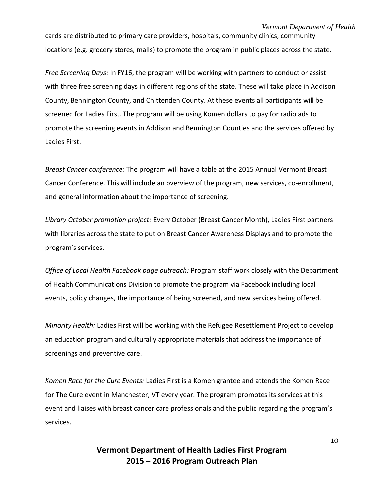#### *Vermont Department of Health*

cards are distributed to primary care providers, hospitals, community clinics, community locations (e.g. grocery stores, malls) to promote the program in public places across the state.

*Free Screening Days:* In FY16, the program will be working with partners to conduct or assist with three free screening days in different regions of the state. These will take place in Addison County, Bennington County, and Chittenden County. At these events all participants will be screened for Ladies First. The program will be using Komen dollars to pay for radio ads to promote the screening events in Addison and Bennington Counties and the services offered by Ladies First.

*Breast Cancer conference:* The program will have a table at the 2015 Annual Vermont Breast Cancer Conference. This will include an overview of the program, new services, co-enrollment, and general information about the importance of screening.

*Library October promotion project:* Every October (Breast Cancer Month), Ladies First partners with libraries across the state to put on Breast Cancer Awareness Displays and to promote the program's services.

*Office of Local Health Facebook page outreach:* Program staff work closely with the Department of Health Communications Division to promote the program via Facebook including local events, policy changes, the importance of being screened, and new services being offered.

*Minority Health:* Ladies First will be working with the Refugee Resettlement Project to develop an education program and culturally appropriate materials that address the importance of screenings and preventive care.

*Komen Race for the Cure Events:* Ladies First is a Komen grantee and attends the Komen Race for The Cure event in Manchester, VT every year. The program promotes its services at this event and liaises with breast cancer care professionals and the public regarding the program's services.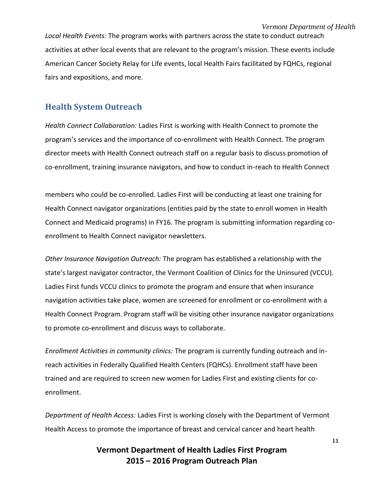*Local Health Events:* The program works with partners across the state to conduct outreach activities at other local events that are relevant to the program's mission. These events include American Cancer Society Relay for Life events, local Health Fairs facilitated by FQHCs, regional fairs and expositions, and more.

#### <span id="page-10-0"></span>**Health System Outreach**

*Health Connect Collaboration:* Ladies First is working with Health Connect to promote the program's services and the importance of co-enrollment with Health Connect. The program director meets with Health Connect outreach staff on a regular basis to discuss promotion of co-enrollment, training insurance navigators, and how to conduct in-reach to Health Connect

members who could be co-enrolled. Ladies First will be conducting at least one training for Health Connect navigator organizations (entities paid by the state to enroll women in Health Connect and Medicaid programs) in FY16. The program is submitting information regarding coenrollment to Health Connect navigator newsletters.

*Other Insurance Navigation Outreach:* The program has established a relationship with the state's largest navigator contractor, the Vermont Coalition of Clinics for the Uninsured (VCCU). Ladies First funds VCCU clinics to promote the program and ensure that when insurance navigation activities take place, women are screened for enrollment or co-enrollment with a Health Connect Program. Program staff will be visiting other insurance navigator organizations to promote co-enrollment and discuss ways to collaborate.

*Enrollment Activities in community clinics:* The program is currently funding outreach and inreach activities in Federally Qualified Health Centers (FQHCs). Enrollment staff have been trained and are required to screen new women for Ladies First and existing clients for coenrollment.

*Department of Health Access:* Ladies First is working closely with the Department of Vermont Health Access to promote the importance of breast and cervical cancer and heart health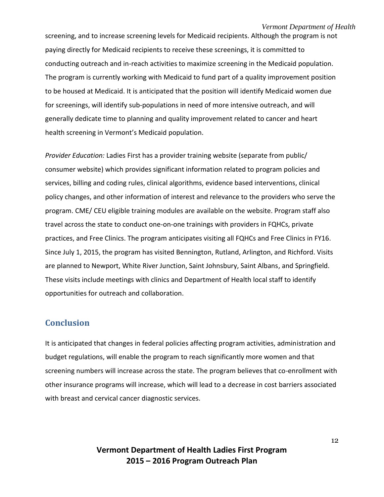screening, and to increase screening levels for Medicaid recipients. Although the program is not paying directly for Medicaid recipients to receive these screenings, it is committed to conducting outreach and in-reach activities to maximize screening in the Medicaid population. The program is currently working with Medicaid to fund part of a quality improvement position to be housed at Medicaid. It is anticipated that the position will identify Medicaid women due for screenings, will identify sub-populations in need of more intensive outreach, and will generally dedicate time to planning and quality improvement related to cancer and heart health screening in Vermont's Medicaid population.

*Provider Education:* Ladies First has a provider training website (separate from public/ consumer website) which provides significant information related to program policies and services, billing and coding rules, clinical algorithms, evidence based interventions, clinical policy changes, and other information of interest and relevance to the providers who serve the program. CME/ CEU eligible training modules are available on the website. Program staff also travel across the state to conduct one-on-one trainings with providers in FQHCs, private practices, and Free Clinics. The program anticipates visiting all FQHCs and Free Clinics in FY16. Since July 1, 2015, the program has visited Bennington, Rutland, Arlington, and Richford. Visits are planned to Newport, White River Junction, Saint Johnsbury, Saint Albans, and Springfield. These visits include meetings with clinics and Department of Health local staff to identify opportunities for outreach and collaboration.

### <span id="page-11-0"></span>**Conclusion**

It is anticipated that changes in federal policies affecting program activities, administration and budget regulations, will enable the program to reach significantly more women and that screening numbers will increase across the state. The program believes that co-enrollment with other insurance programs will increase, which will lead to a decrease in cost barriers associated with breast and cervical cancer diagnostic services.